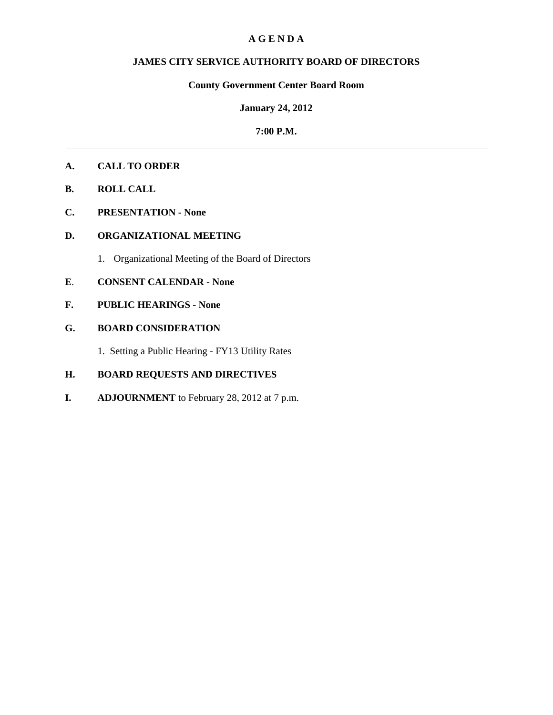### **A G E N D A**

### **JAMES CITY SERVICE AUTHORITY BOARD OF DIRECTORS**

## **County Government Center Board Room**

### **January 24, 2012**

### **7:00 P.M.**

### **A. CALL TO ORDER**

- **B. ROLL CALL**
- **C. PRESENTATION None**

## **D. ORGANIZATIONAL MEETING**

1. Organizational Meeting of the Board of Directors

### **E**. **CONSENT CALENDAR - None**

**F. PUBLIC HEARINGS - None** 

# **G. BOARD CONSIDERATION**

1. Setting a Public Hearing - FY13 Utility Rates

# **H. BOARD REQUESTS AND DIRECTIVES**

**I. ADJOURNMENT** to February 28, 2012 at 7 p.m.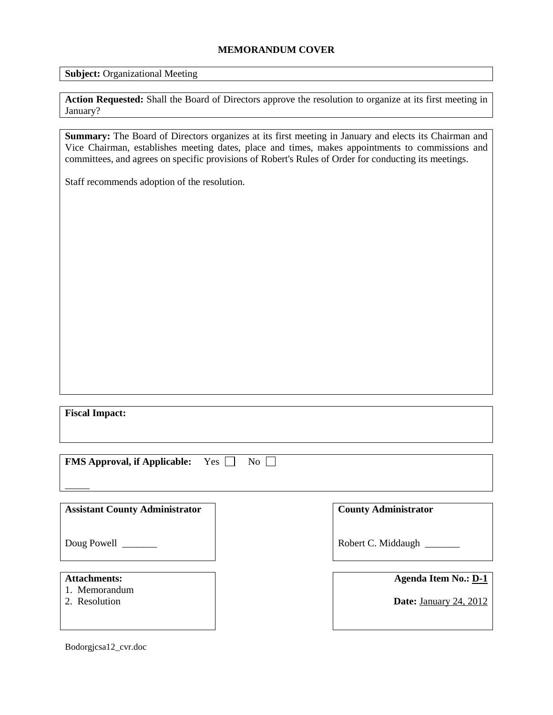### **MEMORANDUM COVER**

**Subject:** Organizational Meeting

Action Requested: Shall the Board of Directors approve the resolution to organize at its first meeting in January?

**Summary:** The Board of Directors organizes at its first meeting in January and elects its Chairman and Vice Chairman, establishes meeting dates, place and times, makes appointments to commissions and committees, and agrees on specific provisions of Robert's Rules of Order for conducting its meetings.

Staff recommends adoption of the resolution.

**Fiscal Impact:**

| <b>FMS Approval, if Applicable:</b> Yes $\Box$ No $\Box$ |  |  |
|----------------------------------------------------------|--|--|
|----------------------------------------------------------|--|--|

**Assistant County Administrator**

Doug Powell

### **Attachments:**

- 1. Memorandum
- 2. Resolution

**County Administrator**

Robert C. Middaugh \_\_\_\_\_\_\_

| <b>Agenda Item No.: D-1</b> |  |  |
|-----------------------------|--|--|
|                             |  |  |

**Date:** January 24, 2012

Bodorgjcsa12\_cvr.doc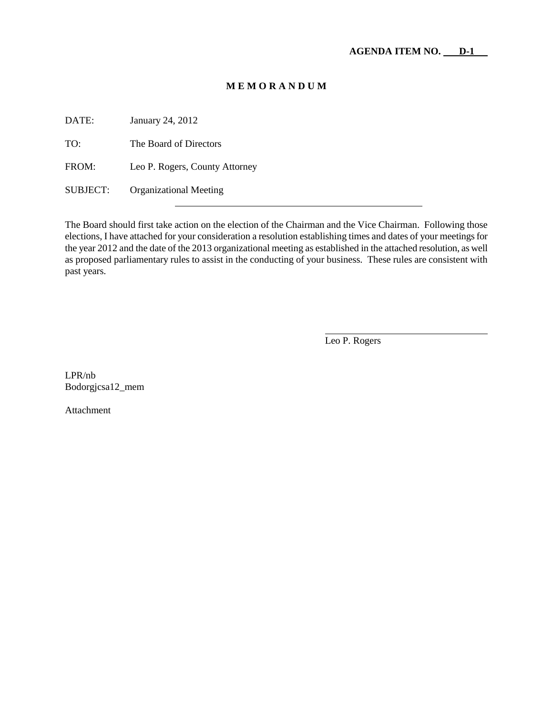## **M E M O R A N D U M**

DATE: January 24, 2012 TO: The Board of Directors FROM: Leo P. Rogers, County Attorney SUBJECT: Organizational Meeting

The Board should first take action on the election of the Chairman and the Vice Chairman. Following those elections, I have attached for your consideration a resolution establishing times and dates of your meetings for the year 2012 and the date of the 2013 organizational meeting as established in the attached resolution, as well as proposed parliamentary rules to assist in the conducting of your business. These rules are consistent with past years.

Leo P. Rogers

LPR/nb Bodorgjcsa12\_mem

Attachment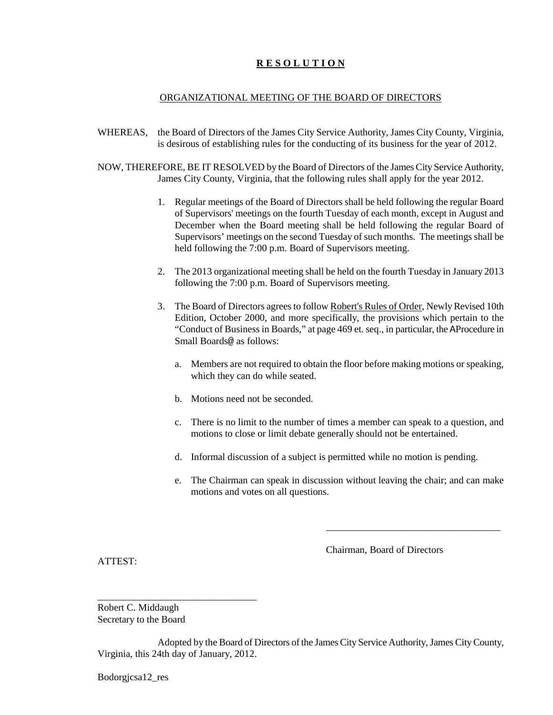# **R E S O L U T I O N**

### ORGANIZATIONAL MEETING OF THE BOARD OF DIRECTORS

- WHEREAS, the Board of Directors of the James City Service Authority, James City County, Virginia, is desirous of establishing rules for the conducting of its business for the year of 2012.
- NOW, THEREFORE, BE IT RESOLVED by the Board of Directors of the James City Service Authority, James City County, Virginia, that the following rules shall apply for the year 2012.
	- 1. Regular meetings of the Board of Directors shall be held following the regular Board of Supervisors' meetings on the fourth Tuesday of each month, except in August and December when the Board meeting shall be held following the regular Board of Supervisors' meetings on the second Tuesday of such months. The meetings shall be held following the 7:00 p.m. Board of Supervisors meeting.
	- 2. The 2013 organizational meeting shall be held on the fourth Tuesday in January 2013 following the 7:00 p.m. Board of Supervisors meeting.
	- 3. The Board of Directors agrees to follow Robert's Rules of Order, Newly Revised 10th Edition, October 2000, and more specifically, the provisions which pertain to the "Conduct of Business in Boards," at page 469 et. seq., in particular, the AProcedure in Small Boards@ as follows:
		- a. Members are not required to obtain the floor before making motions or speaking, which they can do while seated.
		- b. Motions need not be seconded.
		- c. There is no limit to the number of times a member can speak to a question, and motions to close or limit debate generally should not be entertained.
		- d. Informal discussion of a subject is permitted while no motion is pending.
		- e. The Chairman can speak in discussion without leaving the chair; and can make motions and votes on all questions.

Chairman, Board of Directors

\_\_\_\_\_\_\_\_\_\_\_\_\_\_\_\_\_\_\_\_\_\_\_\_\_\_\_\_\_\_\_\_\_\_\_

ATTEST:

Robert C. Middaugh Secretary to the Board

\_\_\_\_\_\_\_\_\_\_\_\_\_\_\_\_\_\_\_\_\_\_\_\_\_\_\_\_\_\_\_\_

Adopted by the Board of Directors of the James City Service Authority, James City County, Virginia, this 24th day of January, 2012.

Bodorgjcsa12\_res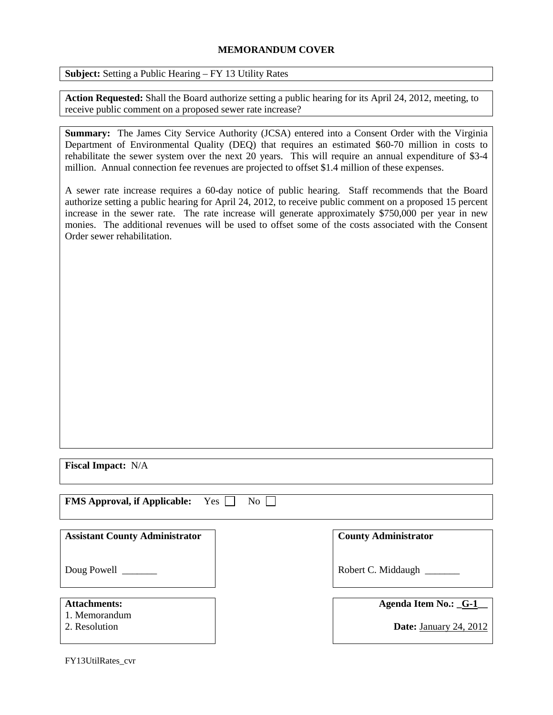### **MEMORANDUM COVER**

**Subject:** Setting a Public Hearing – FY 13 Utility Rates

**Action Requested:** Shall the Board authorize setting a public hearing for its April 24, 2012, meeting, to receive public comment on a proposed sewer rate increase?

**Summary:** The James City Service Authority (JCSA) entered into a Consent Order with the Virginia Department of Environmental Quality (DEQ) that requires an estimated \$60-70 million in costs to rehabilitate the sewer system over the next 20 years. This will require an annual expenditure of \$3-4 million. Annual connection fee revenues are projected to offset \$1.4 million of these expenses.

A sewer rate increase requires a 60-day notice of public hearing. Staff recommends that the Board authorize setting a public hearing for April 24, 2012, to receive public comment on a proposed 15 percent increase in the sewer rate. The rate increase will generate approximately \$750,000 per year in new monies. The additional revenues will be used to offset some of the costs associated with the Consent Order sewer rehabilitation.

**Fiscal Impact:** N/A

| <b>FMS Approval, if Applicable:</b> Yes □ No □ |  |  |
|------------------------------------------------|--|--|
|------------------------------------------------|--|--|

| <b>Assistant County Administrator</b> |  |
|---------------------------------------|--|
|---------------------------------------|--|

Doug Powell

### **Attachments:**

- 1. Memorandum
- 2. Resolution

**County Administrator**

Robert C. Middaugh \_\_\_\_\_\_\_

### **Agenda Item No.: \_G-1\_\_**

**Date:** January 24, 2012

FY13UtilRates\_cvr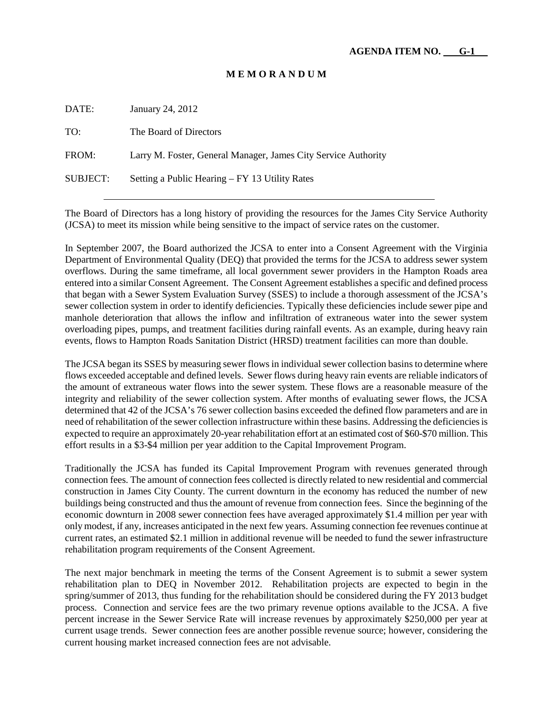### **M E M O R A N D U M**

DATE: January 24, 2012 TO: The Board of Directors FROM: Larry M. Foster, General Manager, James City Service Authority SUBJECT: Setting a Public Hearing – FY 13 Utility Rates

The Board of Directors has a long history of providing the resources for the James City Service Authority (JCSA) to meet its mission while being sensitive to the impact of service rates on the customer.

In September 2007, the Board authorized the JCSA to enter into a Consent Agreement with the Virginia Department of Environmental Quality (DEQ) that provided the terms for the JCSA to address sewer system overflows. During the same timeframe, all local government sewer providers in the Hampton Roads area entered into a similar Consent Agreement. The Consent Agreement establishes a specific and defined process that began with a Sewer System Evaluation Survey (SSES) to include a thorough assessment of the JCSA's sewer collection system in order to identify deficiencies. Typically these deficiencies include sewer pipe and manhole deterioration that allows the inflow and infiltration of extraneous water into the sewer system overloading pipes, pumps, and treatment facilities during rainfall events. As an example, during heavy rain events, flows to Hampton Roads Sanitation District (HRSD) treatment facilities can more than double.

The JCSA began its SSES by measuring sewer flows in individual sewer collection basins to determine where flows exceeded acceptable and defined levels. Sewer flows during heavy rain events are reliable indicators of the amount of extraneous water flows into the sewer system. These flows are a reasonable measure of the integrity and reliability of the sewer collection system. After months of evaluating sewer flows, the JCSA determined that 42 of the JCSA's 76 sewer collection basins exceeded the defined flow parameters and are in need of rehabilitation of the sewer collection infrastructure within these basins. Addressing the deficiencies is expected to require an approximately 20-year rehabilitation effort at an estimated cost of \$60-\$70 million. This effort results in a \$3-\$4 million per year addition to the Capital Improvement Program.

Traditionally the JCSA has funded its Capital Improvement Program with revenues generated through connection fees. The amount of connection fees collected is directly related to new residential and commercial construction in James City County. The current downturn in the economy has reduced the number of new buildings being constructed and thus the amount of revenue from connection fees. Since the beginning of the economic downturn in 2008 sewer connection fees have averaged approximately \$1.4 million per year with only modest, if any, increases anticipated in the next few years. Assuming connection fee revenues continue at current rates, an estimated \$2.1 million in additional revenue will be needed to fund the sewer infrastructure rehabilitation program requirements of the Consent Agreement.

The next major benchmark in meeting the terms of the Consent Agreement is to submit a sewer system rehabilitation plan to DEQ in November 2012. Rehabilitation projects are expected to begin in the spring/summer of 2013, thus funding for the rehabilitation should be considered during the FY 2013 budget process. Connection and service fees are the two primary revenue options available to the JCSA. A five percent increase in the Sewer Service Rate will increase revenues by approximately \$250,000 per year at current usage trends. Sewer connection fees are another possible revenue source; however, considering the current housing market increased connection fees are not advisable.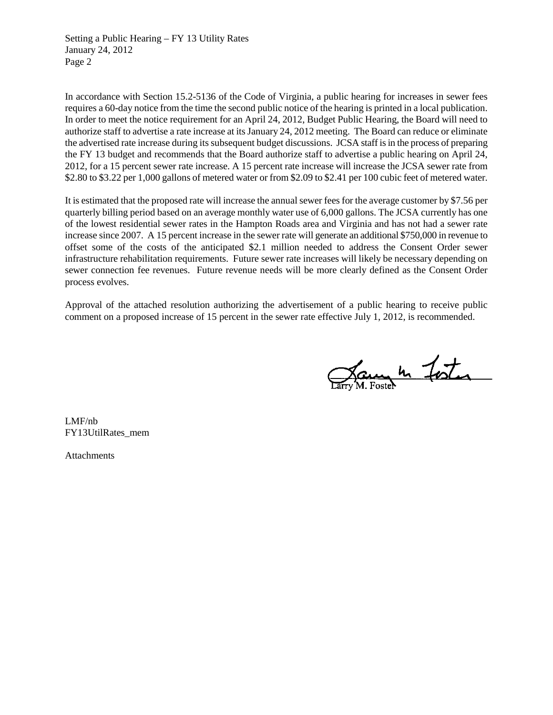Setting a Public Hearing – FY 13 Utility Rates January 24, 2012 Page 2

In accordance with Section 15.2-5136 of the Code of Virginia, a public hearing for increases in sewer fees requires a 60-day notice from the time the second public notice of the hearing is printed in a local publication. In order to meet the notice requirement for an April 24, 2012, Budget Public Hearing, the Board will need to authorize staff to advertise a rate increase at its January 24, 2012 meeting. The Board can reduce or eliminate the advertised rate increase during its subsequent budget discussions. JCSA staff is in the process of preparing the FY 13 budget and recommends that the Board authorize staff to advertise a public hearing on April 24, 2012, for a 15 percent sewer rate increase. A 15 percent rate increase will increase the JCSA sewer rate from \$2.80 to \$3.22 per 1,000 gallons of metered water or from \$2.09 to \$2.41 per 100 cubic feet of metered water.

It is estimated that the proposed rate will increase the annual sewer fees for the average customer by \$7.56 per quarterly billing period based on an average monthly water use of 6,000 gallons. The JCSA currently has one of the lowest residential sewer rates in the Hampton Roads area and Virginia and has not had a sewer rate increase since 2007. A 15 percent increase in the sewer rate will generate an additional \$750,000 in revenue to offset some of the costs of the anticipated \$2.1 million needed to address the Consent Order sewer infrastructure rehabilitation requirements. Future sewer rate increases will likely be necessary depending on sewer connection fee revenues. Future revenue needs will be more clearly defined as the Consent Order process evolves.

Approval of the attached resolution authorizing the advertisement of a public hearing to receive public comment on a proposed increase of 15 percent in the sewer rate effective July 1, 2012, is recommended.

Jaune 10 Foster

LMF/nb FY13UtilRates\_mem

Attachments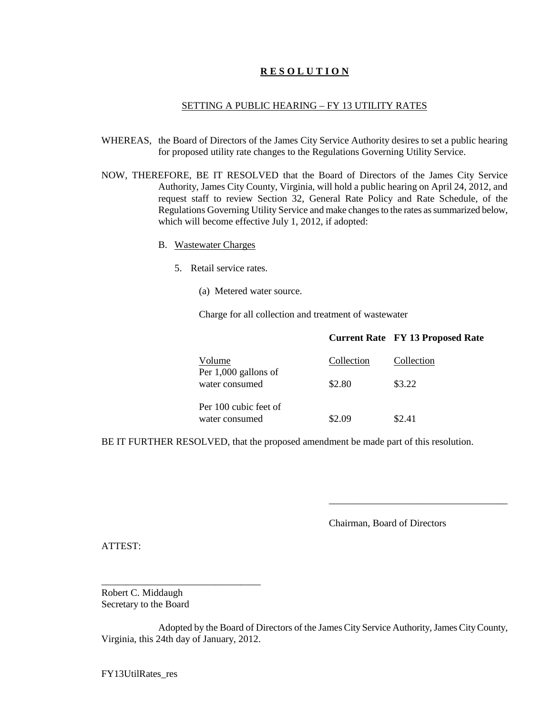### **R E S O L U T I O N**

### SETTING A PUBLIC HEARING – FY 13 UTILITY RATES

- WHEREAS, the Board of Directors of the James City Service Authority desires to set a public hearing for proposed utility rate changes to the Regulations Governing Utility Service.
- NOW, THEREFORE, BE IT RESOLVED that the Board of Directors of the James City Service Authority, James City County, Virginia, will hold a public hearing on April 24, 2012, and request staff to review Section 32, General Rate Policy and Rate Schedule, of the Regulations Governing Utility Service and make changes to the rates as summarized below, which will become effective July 1, 2012, if adopted:
	- B. Wastewater Charges
		- 5. Retail service rates.
			- (a) Metered water source.

Charge for all collection and treatment of wastewater

|                                         |            | <b>Current Rate FY 13 Proposed Rate</b> |
|-----------------------------------------|------------|-----------------------------------------|
| Volume<br>Per $1,000$ gallons of        | Collection | Collection                              |
| water consumed                          | \$2.80     | \$3.22                                  |
| Per 100 cubic feet of<br>water consumed | \$2.09     | \$2.41                                  |

BE IT FURTHER RESOLVED, that the proposed amendment be made part of this resolution.

Chairman, Board of Directors

\_\_\_\_\_\_\_\_\_\_\_\_\_\_\_\_\_\_\_\_\_\_\_\_\_\_\_\_\_\_\_\_\_\_\_\_

ATTEST:

Robert C. Middaugh Secretary to the Board

\_\_\_\_\_\_\_\_\_\_\_\_\_\_\_\_\_\_\_\_\_\_\_\_\_\_\_\_\_\_\_\_

Adopted by the Board of Directors of the James City Service Authority, James City County, Virginia, this 24th day of January, 2012.

FY13UtilRates\_res